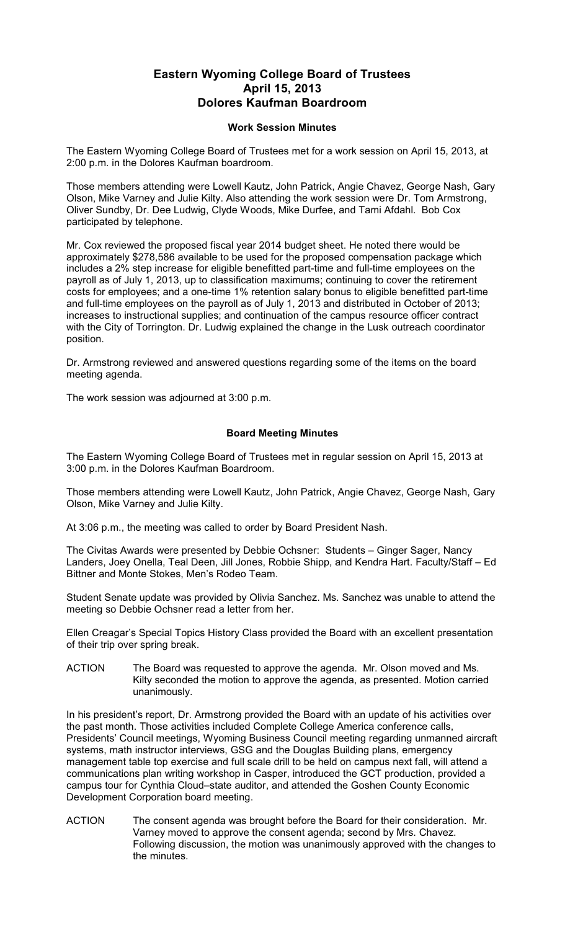## **Eastern Wyoming College Board of Trustees April 15, 2013 Dolores Kaufman Boardroom**

## **Work Session Minutes**

The Eastern Wyoming College Board of Trustees met for a work session on April 15, 2013, at 2:00 p.m. in the Dolores Kaufman boardroom.

Those members attending were Lowell Kautz, John Patrick, Angie Chavez, George Nash, Gary Olson, Mike Varney and Julie Kilty. Also attending the work session were Dr. Tom Armstrong, Oliver Sundby, Dr. Dee Ludwig, Clyde Woods, Mike Durfee, and Tami Afdahl. Bob Cox participated by telephone.

Mr. Cox reviewed the proposed fiscal year 2014 budget sheet. He noted there would be approximately \$278,586 available to be used for the proposed compensation package which includes a 2% step increase for eligible benefitted part-time and full-time employees on the payroll as of July 1, 2013, up to classification maximums; continuing to cover the retirement costs for employees; and a one-time 1% retention salary bonus to eligible benefitted part-time and full-time employees on the payroll as of July 1, 2013 and distributed in October of 2013; increases to instructional supplies; and continuation of the campus resource officer contract with the City of Torrington. Dr. Ludwig explained the change in the Lusk outreach coordinator position.

Dr. Armstrong reviewed and answered questions regarding some of the items on the board meeting agenda.

The work session was adjourned at 3:00 p.m.

## **Board Meeting Minutes**

The Eastern Wyoming College Board of Trustees met in regular session on April 15, 2013 at 3:00 p.m. in the Dolores Kaufman Boardroom.

Those members attending were Lowell Kautz, John Patrick, Angie Chavez, George Nash, Gary Olson, Mike Varney and Julie Kilty.

At 3:06 p.m., the meeting was called to order by Board President Nash.

The Civitas Awards were presented by Debbie Ochsner: Students – Ginger Sager, Nancy Landers, Joey Onella, Teal Deen, Jill Jones, Robbie Shipp, and Kendra Hart. Faculty/Staff – Ed Bittner and Monte Stokes, Men's Rodeo Team.

Student Senate update was provided by Olivia Sanchez. Ms. Sanchez was unable to attend the meeting so Debbie Ochsner read a letter from her.

Ellen Creagar's Special Topics History Class provided the Board with an excellent presentation of their trip over spring break.

ACTION The Board was requested to approve the agenda. Mr. Olson moved and Ms. Kilty seconded the motion to approve the agenda, as presented. Motion carried unanimously.

In his president's report, Dr. Armstrong provided the Board with an update of his activities over the past month. Those activities included Complete College America conference calls, Presidents' Council meetings, Wyoming Business Council meeting regarding unmanned aircraft systems, math instructor interviews, GSG and the Douglas Building plans, emergency management table top exercise and full scale drill to be held on campus next fall, will attend a communications plan writing workshop in Casper, introduced the GCT production, provided a campus tour for Cynthia Cloud–state auditor, and attended the Goshen County Economic Development Corporation board meeting.

ACTION The consent agenda was brought before the Board for their consideration. Mr. Varney moved to approve the consent agenda; second by Mrs. Chavez. Following discussion, the motion was unanimously approved with the changes to the minutes.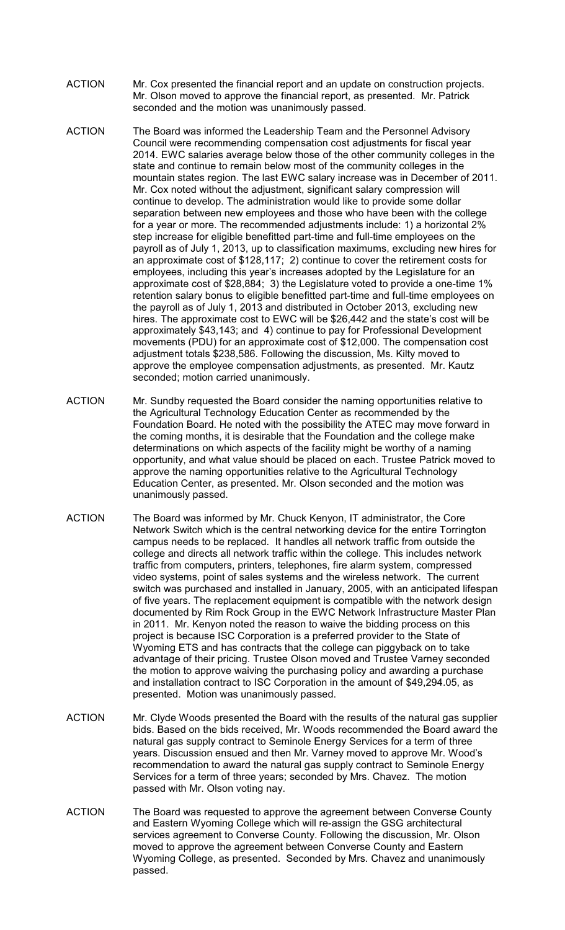- ACTION Mr. Cox presented the financial report and an update on construction projects. Mr. Olson moved to approve the financial report, as presented. Mr. Patrick seconded and the motion was unanimously passed.
- ACTION The Board was informed the Leadership Team and the Personnel Advisory Council were recommending compensation cost adjustments for fiscal year 2014. EWC salaries average below those of the other community colleges in the state and continue to remain below most of the community colleges in the mountain states region. The last EWC salary increase was in December of 2011. Mr. Cox noted without the adjustment, significant salary compression will continue to develop. The administration would like to provide some dollar separation between new employees and those who have been with the college for a year or more. The recommended adjustments include: 1) a horizontal 2% step increase for eligible benefitted part-time and full-time employees on the payroll as of July 1, 2013, up to classification maximums, excluding new hires for an approximate cost of \$128,117; 2) continue to cover the retirement costs for employees, including this year's increases adopted by the Legislature for an approximate cost of \$28,884; 3) the Legislature voted to provide a one-time 1% retention salary bonus to eligible benefitted part-time and full-time employees on the payroll as of July 1, 2013 and distributed in October 2013, excluding new hires. The approximate cost to EWC will be \$26,442 and the state's cost will be approximately \$43,143; and 4) continue to pay for Professional Development movements (PDU) for an approximate cost of \$12,000. The compensation cost adjustment totals \$238,586. Following the discussion, Ms. Kilty moved to approve the employee compensation adjustments, as presented. Mr. Kautz seconded; motion carried unanimously.
- ACTION Mr. Sundby requested the Board consider the naming opportunities relative to the Agricultural Technology Education Center as recommended by the Foundation Board. He noted with the possibility the ATEC may move forward in the coming months, it is desirable that the Foundation and the college make determinations on which aspects of the facility might be worthy of a naming opportunity, and what value should be placed on each. Trustee Patrick moved to approve the naming opportunities relative to the Agricultural Technology Education Center, as presented. Mr. Olson seconded and the motion was unanimously passed.
- ACTION The Board was informed by Mr. Chuck Kenyon, IT administrator, the Core Network Switch which is the central networking device for the entire Torrington campus needs to be replaced. It handles all network traffic from outside the college and directs all network traffic within the college. This includes network traffic from computers, printers, telephones, fire alarm system, compressed video systems, point of sales systems and the wireless network. The current switch was purchased and installed in January, 2005, with an anticipated lifespan of five years. The replacement equipment is compatible with the network design documented by Rim Rock Group in the EWC Network Infrastructure Master Plan in 2011. Mr. Kenyon noted the reason to waive the bidding process on this project is because ISC Corporation is a preferred provider to the State of Wyoming ETS and has contracts that the college can piggyback on to take advantage of their pricing. Trustee Olson moved and Trustee Varney seconded the motion to approve waiving the purchasing policy and awarding a purchase and installation contract to ISC Corporation in the amount of \$49,294.05, as presented. Motion was unanimously passed.
- ACTION Mr. Clyde Woods presented the Board with the results of the natural gas supplier bids. Based on the bids received, Mr. Woods recommended the Board award the natural gas supply contract to Seminole Energy Services for a term of three years. Discussion ensued and then Mr. Varney moved to approve Mr. Wood's recommendation to award the natural gas supply contract to Seminole Energy Services for a term of three years; seconded by Mrs. Chavez. The motion passed with Mr. Olson voting nay.
- ACTION The Board was requested to approve the agreement between Converse County and Eastern Wyoming College which will re-assign the GSG architectural services agreement to Converse County. Following the discussion, Mr. Olson moved to approve the agreement between Converse County and Eastern Wyoming College, as presented. Seconded by Mrs. Chavez and unanimously passed.